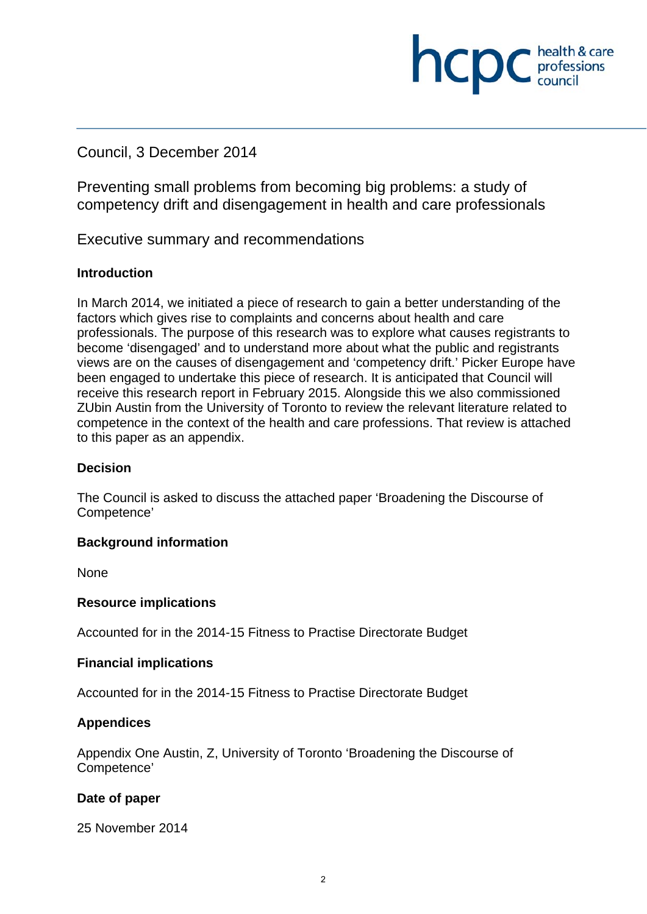# Council, 3 December 2014

Preventing small problems from becoming big problems: a study of competency drift and disengagement in health and care professionals

health & care

**INCDC** *professions* 

Executive summary and recommendations

### **Introduction**

In March 2014, we initiated a piece of research to gain a better understanding of the factors which gives rise to complaints and concerns about health and care professionals. The purpose of this research was to explore what causes registrants to become 'disengaged' and to understand more about what the public and registrants views are on the causes of disengagement and 'competency drift.' Picker Europe have been engaged to undertake this piece of research. It is anticipated that Council will receive this research report in February 2015. Alongside this we also commissioned ZUbin Austin from the University of Toronto to review the relevant literature related to competence in the context of the health and care professions. That review is attached to this paper as an appendix.

### **Decision**

The Council is asked to discuss the attached paper 'Broadening the Discourse of Competence'

### **Background information**

**None** 

### **Resource implications**

Accounted for in the 2014-15 Fitness to Practise Directorate Budget

### **Financial implications**

Accounted for in the 2014-15 Fitness to Practise Directorate Budget

### **Appendices**

Appendix One Austin, Z, University of Toronto 'Broadening the Discourse of Competence'

### **Date of paper**

25 November 2014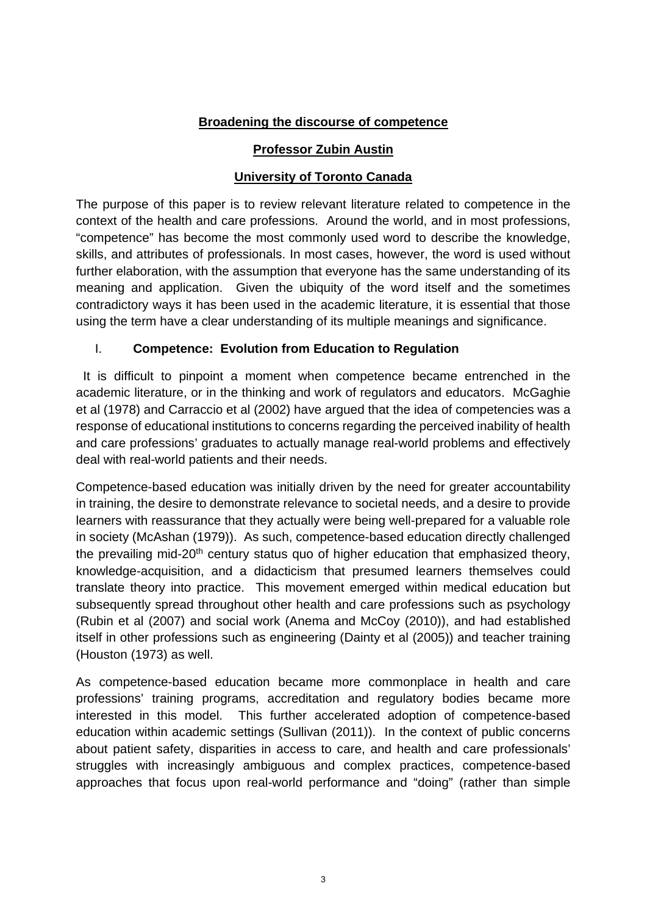## **Broadening the discourse of competence**

### **Professor Zubin Austin**

## **University of Toronto Canada**

The purpose of this paper is to review relevant literature related to competence in the context of the health and care professions. Around the world, and in most professions, "competence" has become the most commonly used word to describe the knowledge, skills, and attributes of professionals. In most cases, however, the word is used without further elaboration, with the assumption that everyone has the same understanding of its meaning and application. Given the ubiquity of the word itself and the sometimes contradictory ways it has been used in the academic literature, it is essential that those using the term have a clear understanding of its multiple meanings and significance.

# I. **Competence: Evolution from Education to Regulation**

 It is difficult to pinpoint a moment when competence became entrenched in the academic literature, or in the thinking and work of regulators and educators. McGaghie et al (1978) and Carraccio et al (2002) have argued that the idea of competencies was a response of educational institutions to concerns regarding the perceived inability of health and care professions' graduates to actually manage real-world problems and effectively deal with real-world patients and their needs.

Competence-based education was initially driven by the need for greater accountability in training, the desire to demonstrate relevance to societal needs, and a desire to provide learners with reassurance that they actually were being well-prepared for a valuable role in society (McAshan (1979)). As such, competence-based education directly challenged the prevailing mid-20<sup>th</sup> century status quo of higher education that emphasized theory, knowledge-acquisition, and a didacticism that presumed learners themselves could translate theory into practice. This movement emerged within medical education but subsequently spread throughout other health and care professions such as psychology (Rubin et al (2007) and social work (Anema and McCoy (2010)), and had established itself in other professions such as engineering (Dainty et al (2005)) and teacher training (Houston (1973) as well.

As competence-based education became more commonplace in health and care professions' training programs, accreditation and regulatory bodies became more interested in this model. This further accelerated adoption of competence-based education within academic settings (Sullivan (2011)). In the context of public concerns about patient safety, disparities in access to care, and health and care professionals' struggles with increasingly ambiguous and complex practices, competence-based approaches that focus upon real-world performance and "doing" (rather than simple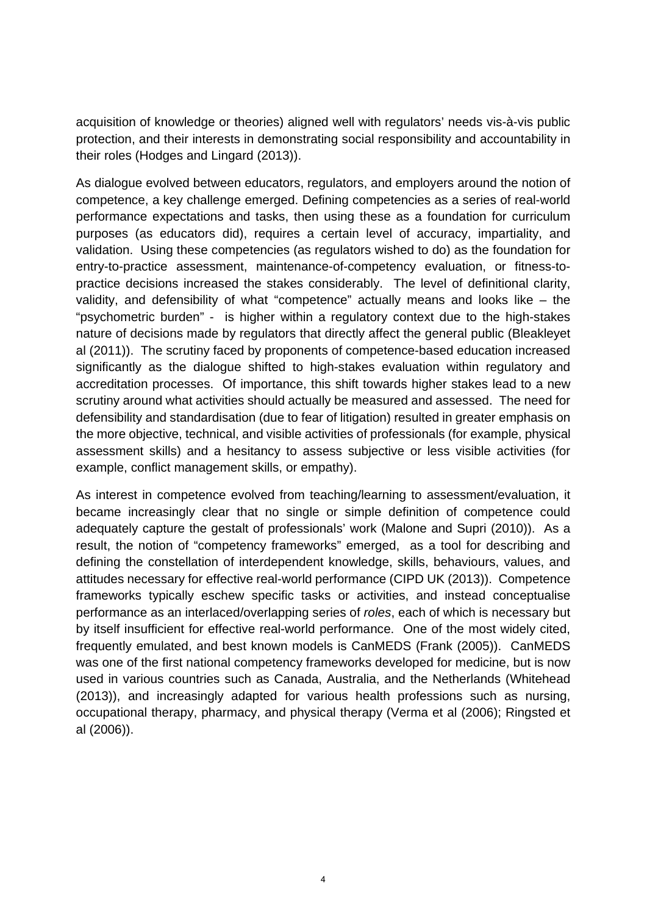acquisition of knowledge or theories) aligned well with regulators' needs vis-à-vis public protection, and their interests in demonstrating social responsibility and accountability in their roles (Hodges and Lingard (2013)).

As dialogue evolved between educators, regulators, and employers around the notion of competence, a key challenge emerged. Defining competencies as a series of real-world performance expectations and tasks, then using these as a foundation for curriculum purposes (as educators did), requires a certain level of accuracy, impartiality, and validation. Using these competencies (as regulators wished to do) as the foundation for entry-to-practice assessment, maintenance-of-competency evaluation, or fitness-topractice decisions increased the stakes considerably. The level of definitional clarity, validity, and defensibility of what "competence" actually means and looks like – the "psychometric burden" - is higher within a regulatory context due to the high-stakes nature of decisions made by regulators that directly affect the general public (Bleakleyet al (2011)). The scrutiny faced by proponents of competence-based education increased significantly as the dialogue shifted to high-stakes evaluation within regulatory and accreditation processes. Of importance, this shift towards higher stakes lead to a new scrutiny around what activities should actually be measured and assessed. The need for defensibility and standardisation (due to fear of litigation) resulted in greater emphasis on the more objective, technical, and visible activities of professionals (for example, physical assessment skills) and a hesitancy to assess subjective or less visible activities (for example, conflict management skills, or empathy).

As interest in competence evolved from teaching/learning to assessment/evaluation, it became increasingly clear that no single or simple definition of competence could adequately capture the gestalt of professionals' work (Malone and Supri (2010)). As a result, the notion of "competency frameworks" emerged, as a tool for describing and defining the constellation of interdependent knowledge, skills, behaviours, values, and attitudes necessary for effective real-world performance (CIPD UK (2013)). Competence frameworks typically eschew specific tasks or activities, and instead conceptualise performance as an interlaced/overlapping series of *roles*, each of which is necessary but by itself insufficient for effective real-world performance. One of the most widely cited, frequently emulated, and best known models is CanMEDS (Frank (2005)). CanMEDS was one of the first national competency frameworks developed for medicine, but is now used in various countries such as Canada, Australia, and the Netherlands (Whitehead (2013)), and increasingly adapted for various health professions such as nursing, occupational therapy, pharmacy, and physical therapy (Verma et al (2006); Ringsted et al (2006)).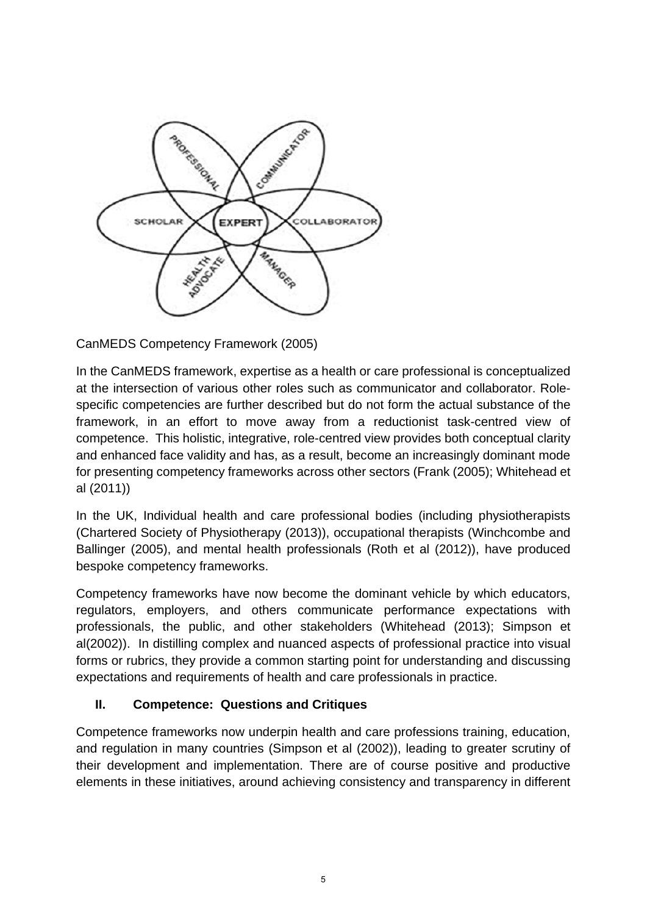

CanMEDS Competency Framework (2005)

In the CanMEDS framework, expertise as a health or care professional is conceptualized at the intersection of various other roles such as communicator and collaborator. Rolespecific competencies are further described but do not form the actual substance of the framework, in an effort to move away from a reductionist task-centred view of competence. This holistic, integrative, role-centred view provides both conceptual clarity and enhanced face validity and has, as a result, become an increasingly dominant mode for presenting competency frameworks across other sectors (Frank (2005); Whitehead et al (2011))

In the UK, Individual health and care professional bodies (including physiotherapists (Chartered Society of Physiotherapy (2013)), occupational therapists (Winchcombe and Ballinger (2005), and mental health professionals (Roth et al (2012)), have produced bespoke competency frameworks.

Competency frameworks have now become the dominant vehicle by which educators, regulators, employers, and others communicate performance expectations with professionals, the public, and other stakeholders (Whitehead (2013); Simpson et al(2002)). In distilling complex and nuanced aspects of professional practice into visual forms or rubrics, they provide a common starting point for understanding and discussing expectations and requirements of health and care professionals in practice.

### **II. Competence: Questions and Critiques**

Competence frameworks now underpin health and care professions training, education, and regulation in many countries (Simpson et al (2002)), leading to greater scrutiny of their development and implementation. There are of course positive and productive elements in these initiatives, around achieving consistency and transparency in different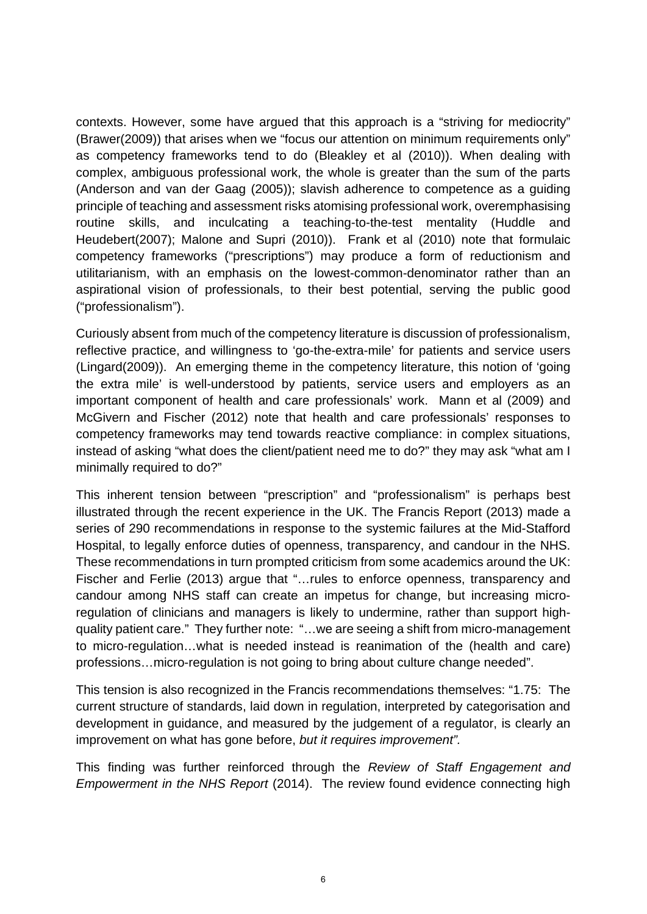contexts. However, some have argued that this approach is a "striving for mediocrity" (Brawer(2009)) that arises when we "focus our attention on minimum requirements only" as competency frameworks tend to do (Bleakley et al (2010)). When dealing with complex, ambiguous professional work, the whole is greater than the sum of the parts (Anderson and van der Gaag (2005)); slavish adherence to competence as a guiding principle of teaching and assessment risks atomising professional work, overemphasising routine skills, and inculcating a teaching-to-the-test mentality (Huddle and Heudebert(2007); Malone and Supri (2010)). Frank et al (2010) note that formulaic competency frameworks ("prescriptions") may produce a form of reductionism and utilitarianism, with an emphasis on the lowest-common-denominator rather than an aspirational vision of professionals, to their best potential, serving the public good ("professionalism").

Curiously absent from much of the competency literature is discussion of professionalism, reflective practice, and willingness to 'go-the-extra-mile' for patients and service users (Lingard(2009)). An emerging theme in the competency literature, this notion of 'going the extra mile' is well-understood by patients, service users and employers as an important component of health and care professionals' work. Mann et al (2009) and McGivern and Fischer (2012) note that health and care professionals' responses to competency frameworks may tend towards reactive compliance: in complex situations, instead of asking "what does the client/patient need me to do?" they may ask "what am I minimally required to do?"

This inherent tension between "prescription" and "professionalism" is perhaps best illustrated through the recent experience in the UK. The Francis Report (2013) made a series of 290 recommendations in response to the systemic failures at the Mid-Stafford Hospital, to legally enforce duties of openness, transparency, and candour in the NHS. These recommendations in turn prompted criticism from some academics around the UK: Fischer and Ferlie (2013) argue that "…rules to enforce openness, transparency and candour among NHS staff can create an impetus for change, but increasing microregulation of clinicians and managers is likely to undermine, rather than support highquality patient care." They further note: "…we are seeing a shift from micro-management to micro-regulation…what is needed instead is reanimation of the (health and care) professions…micro-regulation is not going to bring about culture change needed".

This tension is also recognized in the Francis recommendations themselves: "1.75: The current structure of standards, laid down in regulation, interpreted by categorisation and development in guidance, and measured by the judgement of a regulator, is clearly an improvement on what has gone before, *but it requires improvement".* 

This finding was further reinforced through the *Review of Staff Engagement and Empowerment in the NHS Report* (2014). The review found evidence connecting high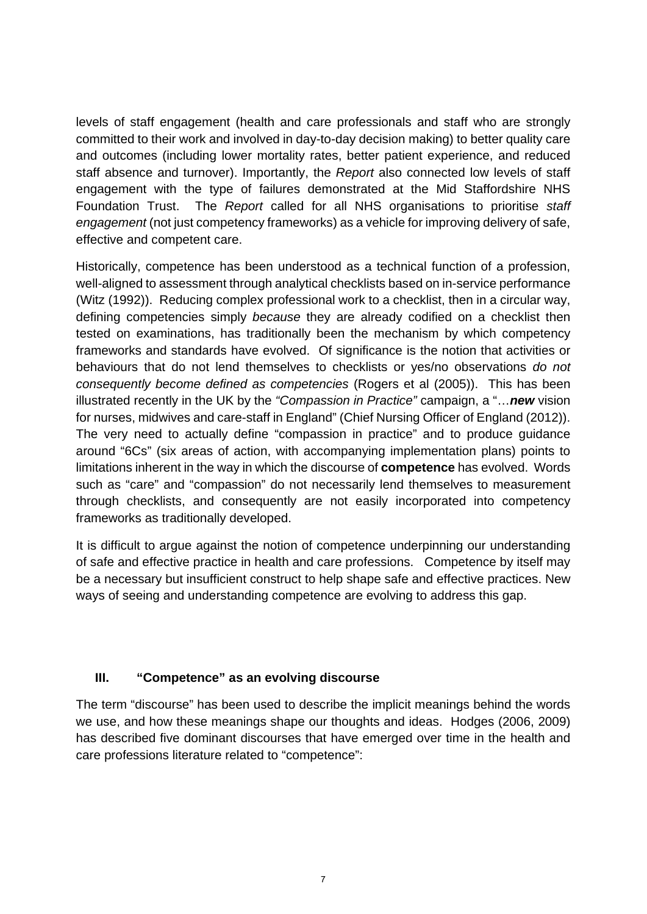levels of staff engagement (health and care professionals and staff who are strongly committed to their work and involved in day-to-day decision making) to better quality care and outcomes (including lower mortality rates, better patient experience, and reduced staff absence and turnover). Importantly, the *Report* also connected low levels of staff engagement with the type of failures demonstrated at the Mid Staffordshire NHS Foundation Trust. The *Report* called for all NHS organisations to prioritise *staff engagement* (not just competency frameworks) as a vehicle for improving delivery of safe, effective and competent care.

Historically, competence has been understood as a technical function of a profession, well-aligned to assessment through analytical checklists based on in-service performance (Witz (1992)). Reducing complex professional work to a checklist, then in a circular way, defining competencies simply *because* they are already codified on a checklist then tested on examinations, has traditionally been the mechanism by which competency frameworks and standards have evolved. Of significance is the notion that activities or behaviours that do not lend themselves to checklists or yes/no observations *do not consequently become defined as competencies* (Rogers et al (2005)). This has been illustrated recently in the UK by the *"Compassion in Practice"* campaign, a "…*new* vision for nurses, midwives and care-staff in England" (Chief Nursing Officer of England (2012)). The very need to actually define "compassion in practice" and to produce guidance around "6Cs" (six areas of action, with accompanying implementation plans) points to limitations inherent in the way in which the discourse of **competence** has evolved. Words such as "care" and "compassion" do not necessarily lend themselves to measurement through checklists, and consequently are not easily incorporated into competency frameworks as traditionally developed.

It is difficult to argue against the notion of competence underpinning our understanding of safe and effective practice in health and care professions. Competence by itself may be a necessary but insufficient construct to help shape safe and effective practices. New ways of seeing and understanding competence are evolving to address this gap.

## **III. "Competence" as an evolving discourse**

The term "discourse" has been used to describe the implicit meanings behind the words we use, and how these meanings shape our thoughts and ideas. Hodges (2006, 2009) has described five dominant discourses that have emerged over time in the health and care professions literature related to "competence":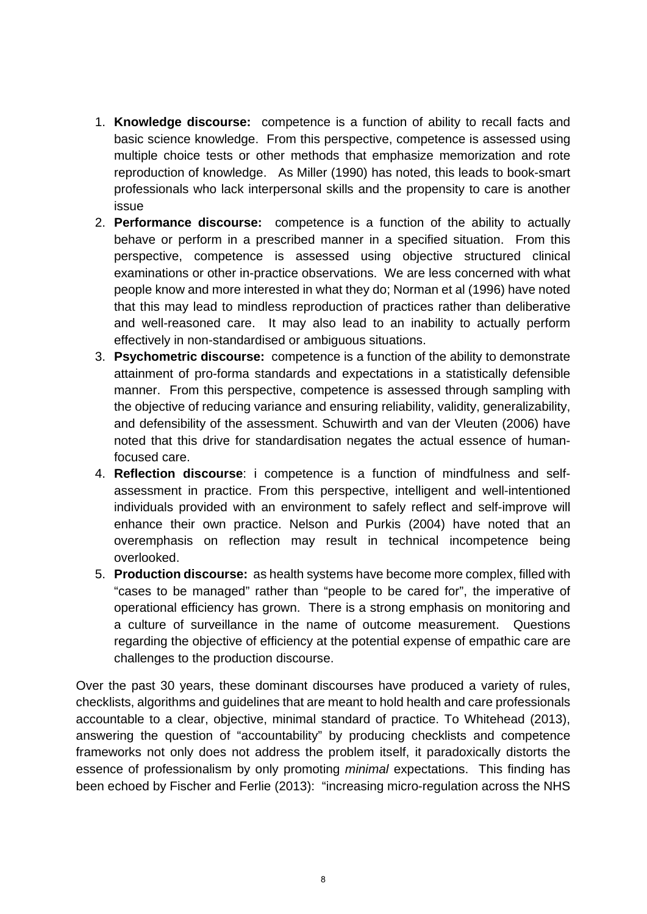- 1. **Knowledge discourse:** competence is a function of ability to recall facts and basic science knowledge. From this perspective, competence is assessed using multiple choice tests or other methods that emphasize memorization and rote reproduction of knowledge. As Miller (1990) has noted, this leads to book-smart professionals who lack interpersonal skills and the propensity to care is another issue
- 2. **Performance discourse:** competence is a function of the ability to actually behave or perform in a prescribed manner in a specified situation. From this perspective, competence is assessed using objective structured clinical examinations or other in-practice observations. We are less concerned with what people know and more interested in what they do; Norman et al (1996) have noted that this may lead to mindless reproduction of practices rather than deliberative and well-reasoned care. It may also lead to an inability to actually perform effectively in non-standardised or ambiguous situations.
- 3. **Psychometric discourse:** competence is a function of the ability to demonstrate attainment of pro-forma standards and expectations in a statistically defensible manner. From this perspective, competence is assessed through sampling with the objective of reducing variance and ensuring reliability, validity, generalizability, and defensibility of the assessment. Schuwirth and van der Vleuten (2006) have noted that this drive for standardisation negates the actual essence of humanfocused care.
- 4. **Reflection discourse**: i competence is a function of mindfulness and selfassessment in practice. From this perspective, intelligent and well-intentioned individuals provided with an environment to safely reflect and self-improve will enhance their own practice. Nelson and Purkis (2004) have noted that an overemphasis on reflection may result in technical incompetence being overlooked.
- 5. **Production discourse:** as health systems have become more complex, filled with "cases to be managed" rather than "people to be cared for", the imperative of operational efficiency has grown. There is a strong emphasis on monitoring and a culture of surveillance in the name of outcome measurement. Questions regarding the objective of efficiency at the potential expense of empathic care are challenges to the production discourse.

Over the past 30 years, these dominant discourses have produced a variety of rules, checklists, algorithms and guidelines that are meant to hold health and care professionals accountable to a clear, objective, minimal standard of practice. To Whitehead (2013), answering the question of "accountability" by producing checklists and competence frameworks not only does not address the problem itself, it paradoxically distorts the essence of professionalism by only promoting *minimal* expectations. This finding has been echoed by Fischer and Ferlie (2013): "increasing micro-regulation across the NHS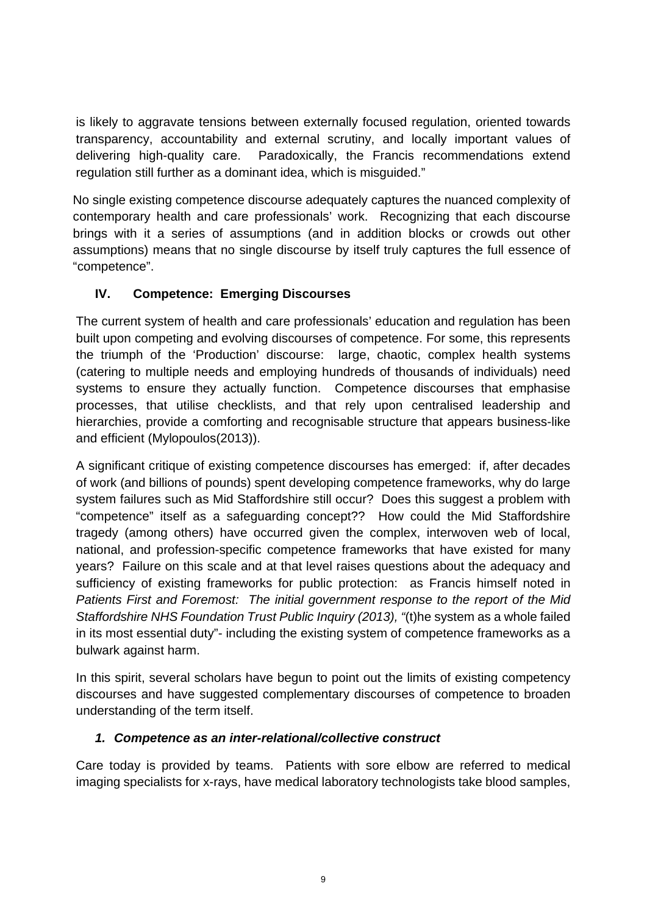is likely to aggravate tensions between externally focused regulation, oriented towards transparency, accountability and external scrutiny, and locally important values of delivering high-quality care. Paradoxically, the Francis recommendations extend regulation still further as a dominant idea, which is misguided."

No single existing competence discourse adequately captures the nuanced complexity of contemporary health and care professionals' work. Recognizing that each discourse brings with it a series of assumptions (and in addition blocks or crowds out other assumptions) means that no single discourse by itself truly captures the full essence of "competence".

# **IV. Competence: Emerging Discourses**

The current system of health and care professionals' education and regulation has been built upon competing and evolving discourses of competence. For some, this represents the triumph of the 'Production' discourse: large, chaotic, complex health systems (catering to multiple needs and employing hundreds of thousands of individuals) need systems to ensure they actually function. Competence discourses that emphasise processes, that utilise checklists, and that rely upon centralised leadership and hierarchies, provide a comforting and recognisable structure that appears business-like and efficient (Mylopoulos(2013)).

A significant critique of existing competence discourses has emerged: if, after decades of work (and billions of pounds) spent developing competence frameworks, why do large system failures such as Mid Staffordshire still occur? Does this suggest a problem with "competence" itself as a safeguarding concept?? How could the Mid Staffordshire tragedy (among others) have occurred given the complex, interwoven web of local, national, and profession-specific competence frameworks that have existed for many years? Failure on this scale and at that level raises questions about the adequacy and sufficiency of existing frameworks for public protection: as Francis himself noted in *Patients First and Foremost: The initial government response to the report of the Mid Staffordshire NHS Foundation Trust Public Inquiry (2013), "*(t)he system as a whole failed in its most essential duty"- including the existing system of competence frameworks as a bulwark against harm.

In this spirit, several scholars have begun to point out the limits of existing competency discourses and have suggested complementary discourses of competence to broaden understanding of the term itself.

## *1. Competence as an inter-relational/collective construct*

Care today is provided by teams. Patients with sore elbow are referred to medical imaging specialists for x-rays, have medical laboratory technologists take blood samples,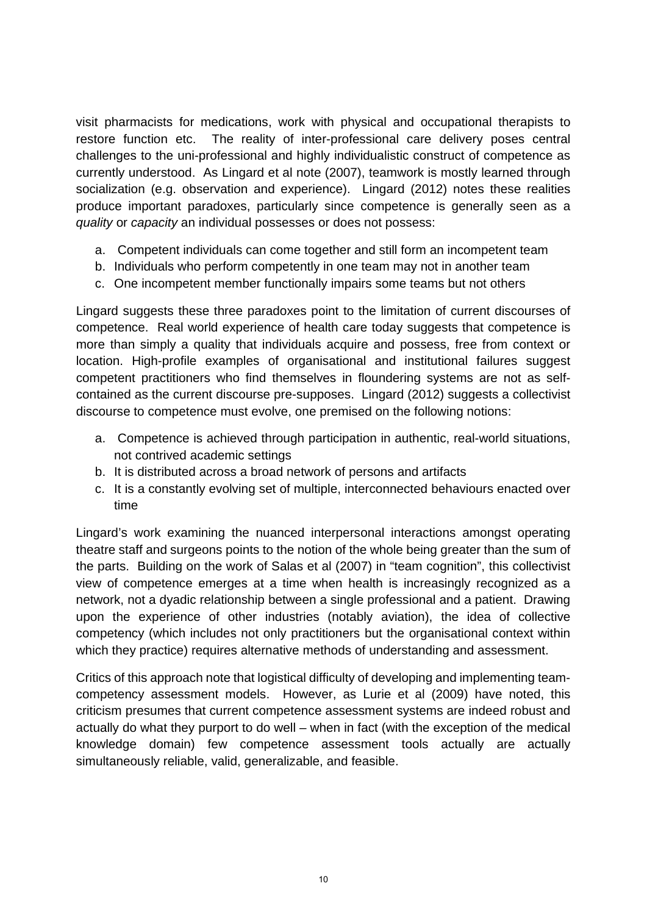visit pharmacists for medications, work with physical and occupational therapists to restore function etc. The reality of inter-professional care delivery poses central challenges to the uni-professional and highly individualistic construct of competence as currently understood. As Lingard et al note (2007), teamwork is mostly learned through socialization (e.g. observation and experience). Lingard (2012) notes these realities produce important paradoxes, particularly since competence is generally seen as a *quality* or *capacity* an individual possesses or does not possess:

- a. Competent individuals can come together and still form an incompetent team
- b. Individuals who perform competently in one team may not in another team
- c. One incompetent member functionally impairs some teams but not others

Lingard suggests these three paradoxes point to the limitation of current discourses of competence. Real world experience of health care today suggests that competence is more than simply a quality that individuals acquire and possess, free from context or location. High-profile examples of organisational and institutional failures suggest competent practitioners who find themselves in floundering systems are not as selfcontained as the current discourse pre-supposes. Lingard (2012) suggests a collectivist discourse to competence must evolve, one premised on the following notions:

- a. Competence is achieved through participation in authentic, real-world situations, not contrived academic settings
- b. It is distributed across a broad network of persons and artifacts
- c. It is a constantly evolving set of multiple, interconnected behaviours enacted over time

Lingard's work examining the nuanced interpersonal interactions amongst operating theatre staff and surgeons points to the notion of the whole being greater than the sum of the parts. Building on the work of Salas et al (2007) in "team cognition", this collectivist view of competence emerges at a time when health is increasingly recognized as a network, not a dyadic relationship between a single professional and a patient. Drawing upon the experience of other industries (notably aviation), the idea of collective competency (which includes not only practitioners but the organisational context within which they practice) requires alternative methods of understanding and assessment.

Critics of this approach note that logistical difficulty of developing and implementing teamcompetency assessment models. However, as Lurie et al (2009) have noted, this criticism presumes that current competence assessment systems are indeed robust and actually do what they purport to do well – when in fact (with the exception of the medical knowledge domain) few competence assessment tools actually are actually simultaneously reliable, valid, generalizable, and feasible.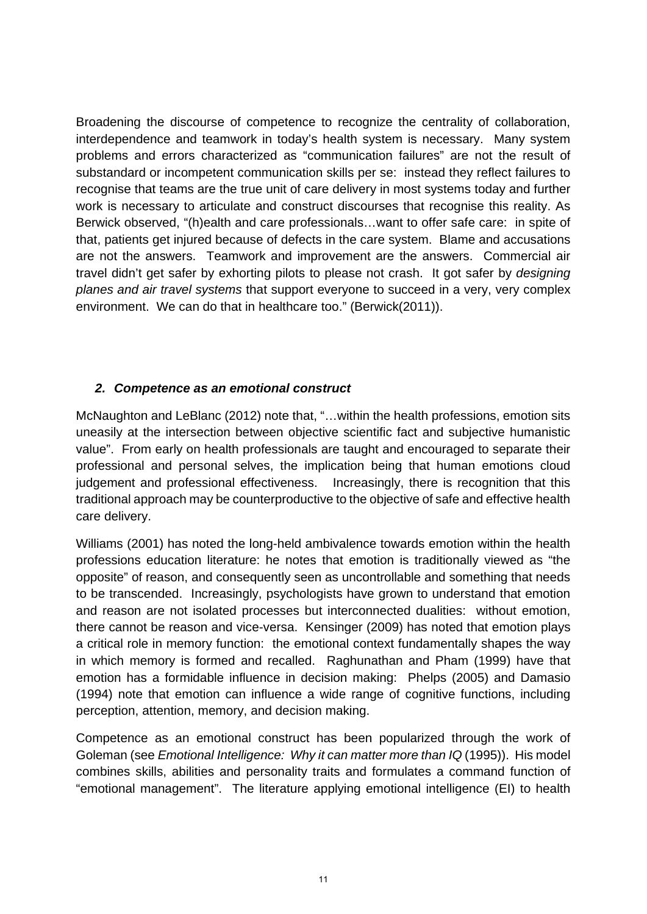Broadening the discourse of competence to recognize the centrality of collaboration, interdependence and teamwork in today's health system is necessary. Many system problems and errors characterized as "communication failures" are not the result of substandard or incompetent communication skills per se: instead they reflect failures to recognise that teams are the true unit of care delivery in most systems today and further work is necessary to articulate and construct discourses that recognise this reality. As Berwick observed, "(h)ealth and care professionals…want to offer safe care: in spite of that, patients get injured because of defects in the care system. Blame and accusations are not the answers. Teamwork and improvement are the answers. Commercial air travel didn't get safer by exhorting pilots to please not crash. It got safer by *designing planes and air travel systems* that support everyone to succeed in a very, very complex environment. We can do that in healthcare too." (Berwick(2011)).

### *2. Competence as an emotional construct*

McNaughton and LeBlanc (2012) note that, "…within the health professions, emotion sits uneasily at the intersection between objective scientific fact and subjective humanistic value". From early on health professionals are taught and encouraged to separate their professional and personal selves, the implication being that human emotions cloud judgement and professional effectiveness. Increasingly, there is recognition that this traditional approach may be counterproductive to the objective of safe and effective health care delivery.

Williams (2001) has noted the long-held ambivalence towards emotion within the health professions education literature: he notes that emotion is traditionally viewed as "the opposite" of reason, and consequently seen as uncontrollable and something that needs to be transcended. Increasingly, psychologists have grown to understand that emotion and reason are not isolated processes but interconnected dualities: without emotion, there cannot be reason and vice-versa. Kensinger (2009) has noted that emotion plays a critical role in memory function: the emotional context fundamentally shapes the way in which memory is formed and recalled. Raghunathan and Pham (1999) have that emotion has a formidable influence in decision making: Phelps (2005) and Damasio (1994) note that emotion can influence a wide range of cognitive functions, including perception, attention, memory, and decision making.

Competence as an emotional construct has been popularized through the work of Goleman (see *Emotional Intelligence: Why it can matter more than IQ* (1995)). His model combines skills, abilities and personality traits and formulates a command function of "emotional management". The literature applying emotional intelligence (EI) to health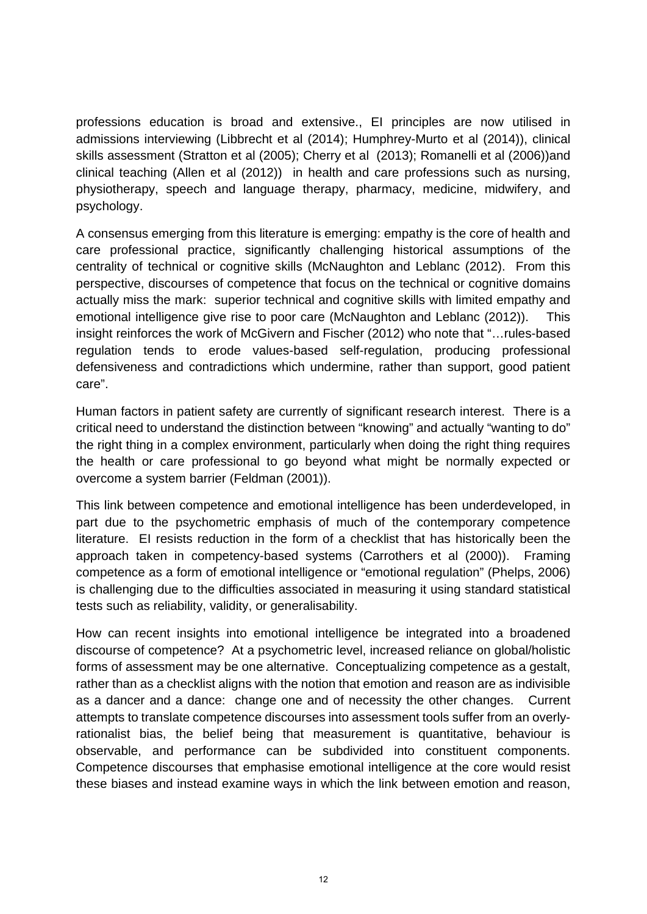professions education is broad and extensive., EI principles are now utilised in admissions interviewing (Libbrecht et al (2014); Humphrey-Murto et al (2014)), clinical skills assessment (Stratton et al (2005); Cherry et al (2013); Romanelli et al (2006))and clinical teaching (Allen et al (2012)) in health and care professions such as nursing, physiotherapy, speech and language therapy, pharmacy, medicine, midwifery, and psychology.

A consensus emerging from this literature is emerging: empathy is the core of health and care professional practice, significantly challenging historical assumptions of the centrality of technical or cognitive skills (McNaughton and Leblanc (2012). From this perspective, discourses of competence that focus on the technical or cognitive domains actually miss the mark: superior technical and cognitive skills with limited empathy and emotional intelligence give rise to poor care (McNaughton and Leblanc (2012)). This insight reinforces the work of McGivern and Fischer (2012) who note that "…rules-based regulation tends to erode values-based self-regulation, producing professional defensiveness and contradictions which undermine, rather than support, good patient care".

Human factors in patient safety are currently of significant research interest. There is a critical need to understand the distinction between "knowing" and actually "wanting to do" the right thing in a complex environment, particularly when doing the right thing requires the health or care professional to go beyond what might be normally expected or overcome a system barrier (Feldman (2001)).

This link between competence and emotional intelligence has been underdeveloped, in part due to the psychometric emphasis of much of the contemporary competence literature. EI resists reduction in the form of a checklist that has historically been the approach taken in competency-based systems (Carrothers et al (2000)). Framing competence as a form of emotional intelligence or "emotional regulation" (Phelps, 2006) is challenging due to the difficulties associated in measuring it using standard statistical tests such as reliability, validity, or generalisability.

How can recent insights into emotional intelligence be integrated into a broadened discourse of competence? At a psychometric level, increased reliance on global/holistic forms of assessment may be one alternative. Conceptualizing competence as a gestalt, rather than as a checklist aligns with the notion that emotion and reason are as indivisible as a dancer and a dance: change one and of necessity the other changes. Current attempts to translate competence discourses into assessment tools suffer from an overlyrationalist bias, the belief being that measurement is quantitative, behaviour is observable, and performance can be subdivided into constituent components. Competence discourses that emphasise emotional intelligence at the core would resist these biases and instead examine ways in which the link between emotion and reason,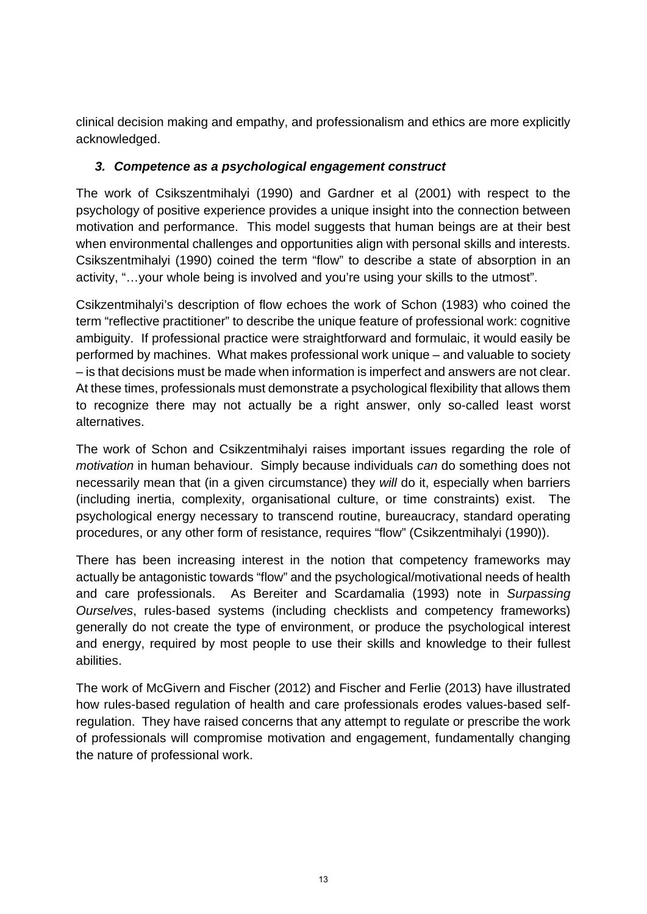clinical decision making and empathy, and professionalism and ethics are more explicitly acknowledged.

## *3. Competence as a psychological engagement construct*

The work of Csikszentmihalyi (1990) and Gardner et al (2001) with respect to the psychology of positive experience provides a unique insight into the connection between motivation and performance. This model suggests that human beings are at their best when environmental challenges and opportunities align with personal skills and interests. Csikszentmihalyi (1990) coined the term "flow" to describe a state of absorption in an activity, "…your whole being is involved and you're using your skills to the utmost".

Csikzentmihalyi's description of flow echoes the work of Schon (1983) who coined the term "reflective practitioner" to describe the unique feature of professional work: cognitive ambiguity. If professional practice were straightforward and formulaic, it would easily be performed by machines. What makes professional work unique – and valuable to society – is that decisions must be made when information is imperfect and answers are not clear. At these times, professionals must demonstrate a psychological flexibility that allows them to recognize there may not actually be a right answer, only so-called least worst alternatives.

The work of Schon and Csikzentmihalyi raises important issues regarding the role of *motivation* in human behaviour. Simply because individuals *can* do something does not necessarily mean that (in a given circumstance) they *will* do it, especially when barriers (including inertia, complexity, organisational culture, or time constraints) exist. The psychological energy necessary to transcend routine, bureaucracy, standard operating procedures, or any other form of resistance, requires "flow" (Csikzentmihalyi (1990)).

There has been increasing interest in the notion that competency frameworks may actually be antagonistic towards "flow" and the psychological/motivational needs of health and care professionals. As Bereiter and Scardamalia (1993) note in *Surpassing Ourselves*, rules-based systems (including checklists and competency frameworks) generally do not create the type of environment, or produce the psychological interest and energy, required by most people to use their skills and knowledge to their fullest abilities.

The work of McGivern and Fischer (2012) and Fischer and Ferlie (2013) have illustrated how rules-based regulation of health and care professionals erodes values-based selfregulation. They have raised concerns that any attempt to regulate or prescribe the work of professionals will compromise motivation and engagement, fundamentally changing the nature of professional work.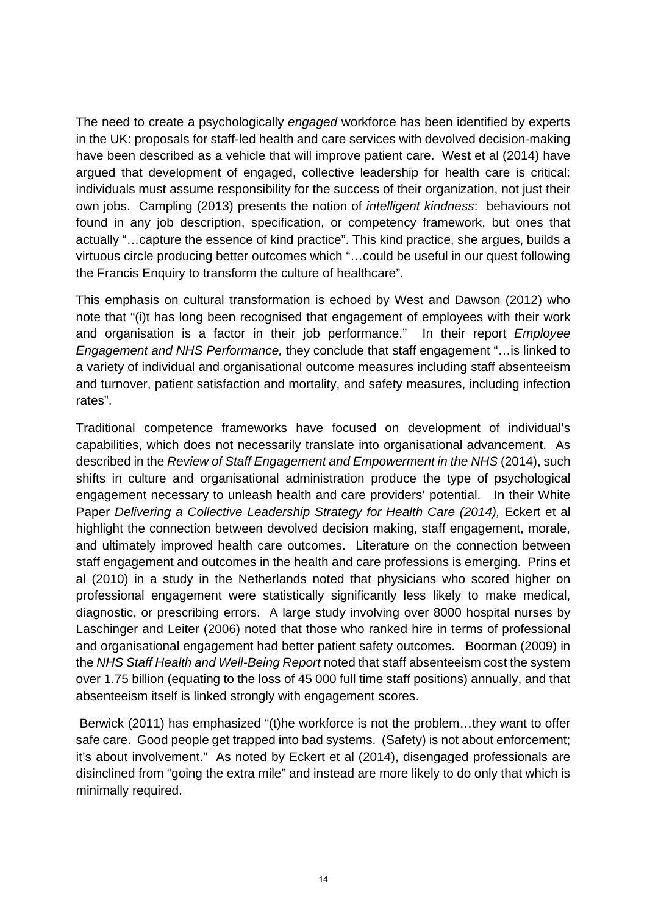The need to create a psychologically *engaged* workforce has been identified by experts in the UK: proposals for staff-led health and care services with devolved decision-making have been described as a vehicle that will improve patient care. West et al (2014) have argued that development of engaged, collective leadership for health care is critical: individuals must assume responsibility for the success of their organization, not just their own jobs. Campling (2013) presents the notion of *intelligent kindness*: behaviours not found in any job description, specification, or competency framework, but ones that actually "…capture the essence of kind practice". This kind practice, she argues, builds a virtuous circle producing better outcomes which "…could be useful in our quest following the Francis Enquiry to transform the culture of healthcare".

This emphasis on cultural transformation is echoed by West and Dawson (2012) who note that "(i)t has long been recognised that engagement of employees with their work and organisation is a factor in their job performance." In their report *Employee Engagement and NHS Performance,* they conclude that staff engagement "…is linked to a variety of individual and organisational outcome measures including staff absenteeism and turnover, patient satisfaction and mortality, and safety measures, including infection rates".

Traditional competence frameworks have focused on development of individual's capabilities, which does not necessarily translate into organisational advancement. As described in the *Review of Staff Engagement and Empowerment in the NHS* (2014), such shifts in culture and organisational administration produce the type of psychological engagement necessary to unleash health and care providers' potential. In their White Paper *Delivering a Collective Leadership Strategy for Health Care (2014), Eckert et al* highlight the connection between devolved decision making, staff engagement, morale, and ultimately improved health care outcomes. Literature on the connection between staff engagement and outcomes in the health and care professions is emerging. Prins et al (2010) in a study in the Netherlands noted that physicians who scored higher on professional engagement were statistically significantly less likely to make medical, diagnostic, or prescribing errors. A large study involving over 8000 hospital nurses by Laschinger and Leiter (2006) noted that those who ranked hire in terms of professional and organisational engagement had better patient safety outcomes. Boorman (2009) in the *NHS Staff Health and Well-Being Report* noted that staff absenteeism cost the system over 1.75 billion (equating to the loss of 45 000 full time staff positions) annually, and that absenteeism itself is linked strongly with engagement scores.

 Berwick (2011) has emphasized "(t)he workforce is not the problem…they want to offer safe care. Good people get trapped into bad systems. (Safety) is not about enforcement; it's about involvement." As noted by Eckert et al (2014), disengaged professionals are disinclined from "going the extra mile" and instead are more likely to do only that which is minimally required.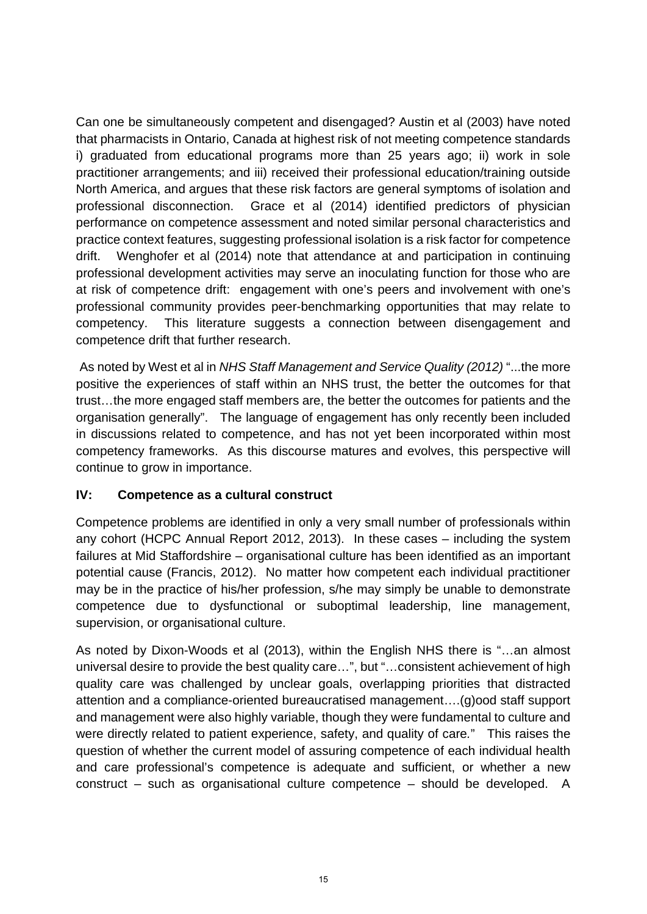Can one be simultaneously competent and disengaged? Austin et al (2003) have noted that pharmacists in Ontario, Canada at highest risk of not meeting competence standards i) graduated from educational programs more than 25 years ago; ii) work in sole practitioner arrangements; and iii) received their professional education/training outside North America, and argues that these risk factors are general symptoms of isolation and professional disconnection. Grace et al (2014) identified predictors of physician performance on competence assessment and noted similar personal characteristics and practice context features, suggesting professional isolation is a risk factor for competence drift. Wenghofer et al (2014) note that attendance at and participation in continuing professional development activities may serve an inoculating function for those who are at risk of competence drift: engagement with one's peers and involvement with one's professional community provides peer-benchmarking opportunities that may relate to competency. This literature suggests a connection between disengagement and competence drift that further research.

 As noted by West et al in *NHS Staff Management and Service Quality (2012)* "...the more positive the experiences of staff within an NHS trust, the better the outcomes for that trust…the more engaged staff members are, the better the outcomes for patients and the organisation generally". The language of engagement has only recently been included in discussions related to competence, and has not yet been incorporated within most competency frameworks. As this discourse matures and evolves, this perspective will continue to grow in importance.

### **IV: Competence as a cultural construct**

Competence problems are identified in only a very small number of professionals within any cohort (HCPC Annual Report 2012, 2013). In these cases – including the system failures at Mid Staffordshire – organisational culture has been identified as an important potential cause (Francis, 2012). No matter how competent each individual practitioner may be in the practice of his/her profession, s/he may simply be unable to demonstrate competence due to dysfunctional or suboptimal leadership, line management, supervision, or organisational culture.

As noted by Dixon-Woods et al (2013), within the English NHS there is "…an almost universal desire to provide the best quality care…", but "…consistent achievement of high quality care was challenged by unclear goals, overlapping priorities that distracted attention and a compliance-oriented bureaucratised management….(g)ood staff support and management were also highly variable, though they were fundamental to culture and were directly related to patient experience, safety, and quality of care*.*" This raises the question of whether the current model of assuring competence of each individual health and care professional's competence is adequate and sufficient, or whether a new construct – such as organisational culture competence – should be developed. A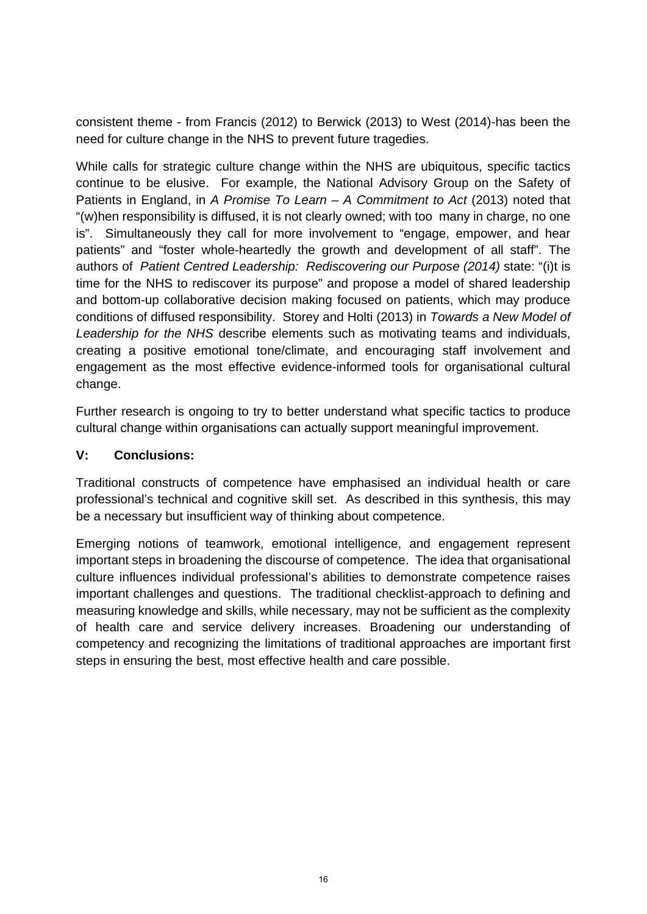consistent theme - from Francis (2012) to Berwick (2013) to West (2014)-has been the need for culture change in the NHS to prevent future tragedies.

While calls for strategic culture change within the NHS are ubiquitous, specific tactics continue to be elusive. For example, the National Advisory Group on the Safety of Patients in England, in *A Promise To Learn – A Commitment to Act* (2013) noted that "(w)hen responsibility is diffused, it is not clearly owned; with too many in charge, no one is". Simultaneously they call for more involvement to "engage, empower, and hear patients" and "foster whole-heartedly the growth and development of all staff". The authors of *Patient Centred Leadership: Rediscovering our Purpose (2014)* state: "(i)t is time for the NHS to rediscover its purpose" and propose a model of shared leadership and bottom-up collaborative decision making focused on patients, which may produce conditions of diffused responsibility. Storey and Holti (2013) in *Towards a New Model of Leadership for the NHS* describe elements such as motivating teams and individuals, creating a positive emotional tone/climate, and encouraging staff involvement and engagement as the most effective evidence-informed tools for organisational cultural change.

Further research is ongoing to try to better understand what specific tactics to produce cultural change within organisations can actually support meaningful improvement.

## **V: Conclusions:**

Traditional constructs of competence have emphasised an individual health or care professional's technical and cognitive skill set. As described in this synthesis, this may be a necessary but insufficient way of thinking about competence.

Emerging notions of teamwork, emotional intelligence, and engagement represent important steps in broadening the discourse of competence. The idea that organisational culture influences individual professional's abilities to demonstrate competence raises important challenges and questions. The traditional checklist-approach to defining and measuring knowledge and skills, while necessary, may not be sufficient as the complexity of health care and service delivery increases. Broadening our understanding of competency and recognizing the limitations of traditional approaches are important first steps in ensuring the best, most effective health and care possible.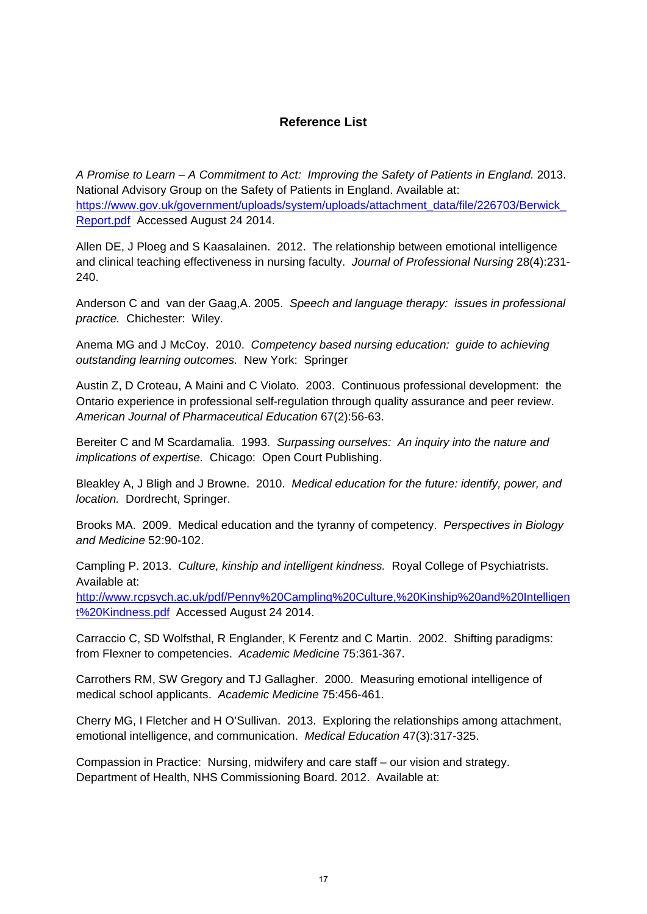### **Reference List**

*A Promise to Learn – A Commitment to Act: Improving the Safety of Patients in England.* 2013. National Advisory Group on the Safety of Patients in England. Available at: https://www.gov.uk/government/uploads/system/uploads/attachment\_data/file/226703/Berwick Report.pdf Accessed August 24 2014.

Allen DE, J Ploeg and S Kaasalainen. 2012. The relationship between emotional intelligence and clinical teaching effectiveness in nursing faculty. *Journal of Professional Nursing* 28(4):231- 240.

Anderson C and van der Gaag,A. 2005. *Speech and language therapy: issues in professional practice.* Chichester: Wiley.

Anema MG and J McCoy. 2010. *Competency based nursing education: guide to achieving outstanding learning outcomes.* New York: Springer

Austin Z, D Croteau, A Maini and C Violato. 2003. Continuous professional development: the Ontario experience in professional self-regulation through quality assurance and peer review. *American Journal of Pharmaceutical Education* 67(2):56-63.

Bereiter C and M Scardamalia. 1993. *Surpassing ourselves: An inquiry into the nature and implications of expertise.* Chicago: Open Court Publishing.

Bleakley A, J Bligh and J Browne. 2010. *Medical education for the future: identify, power, and location.* Dordrecht, Springer.

Brooks MA. 2009. Medical education and the tyranny of competency. *Perspectives in Biology and Medicine* 52:90-102.

Campling P. 2013. *Culture, kinship and intelligent kindness.* Royal College of Psychiatrists. Available at:

http://www.rcpsych.ac.uk/pdf/Penny%20Campling%20Culture,%20Kinship%20and%20Intelligen t%20Kindness.pdf Accessed August 24 2014.

Carraccio C, SD Wolfsthal, R Englander, K Ferentz and C Martin. 2002. Shifting paradigms: from Flexner to competencies. *Academic Medicine* 75:361-367.

Carrothers RM, SW Gregory and TJ Gallagher. 2000. Measuring emotional intelligence of medical school applicants. *Academic Medicine* 75:456-461.

Cherry MG, I Fletcher and H O'Sullivan. 2013. Exploring the relationships among attachment, emotional intelligence, and communication. *Medical Education* 47(3):317-325.

Compassion in Practice: Nursing, midwifery and care staff – our vision and strategy. Department of Health, NHS Commissioning Board. 2012. Available at: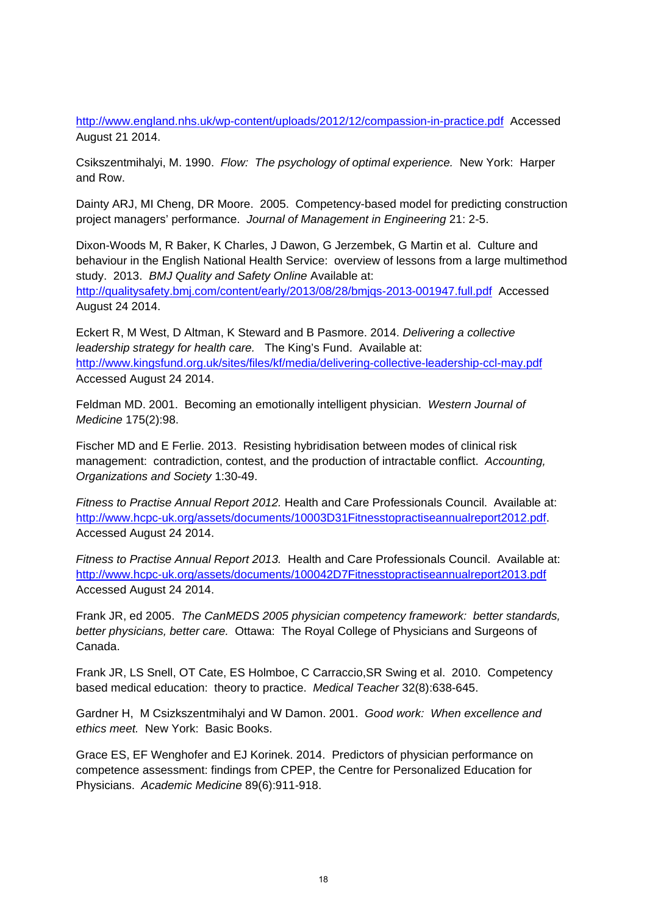http://www.england.nhs.uk/wp-content/uploads/2012/12/compassion-in-practice.pdf Accessed August 21 2014.

Csikszentmihalyi, M. 1990. *Flow: The psychology of optimal experience.* New York: Harper and Row.

Dainty ARJ, MI Cheng, DR Moore. 2005. Competency-based model for predicting construction project managers' performance. *Journal of Management in Engineering* 21: 2-5.

Dixon-Woods M, R Baker, K Charles, J Dawon, G Jerzembek, G Martin et al. Culture and behaviour in the English National Health Service: overview of lessons from a large multimethod study. 2013. *BMJ Quality and Safety Online* Available at:

http://qualitysafety.bmj.com/content/early/2013/08/28/bmjqs-2013-001947.full.pdf Accessed August 24 2014.

Eckert R, M West, D Altman, K Steward and B Pasmore. 2014. *Delivering a collective leadership strategy for health care.* The King's Fund. Available at: http://www.kingsfund.org.uk/sites/files/kf/media/delivering-collective-leadership-ccl-may.pdf Accessed August 24 2014.

Feldman MD. 2001. Becoming an emotionally intelligent physician. *Western Journal of Medicine* 175(2):98.

Fischer MD and E Ferlie. 2013. Resisting hybridisation between modes of clinical risk management: contradiction, contest, and the production of intractable conflict. *Accounting, Organizations and Society* 1:30-49.

*Fitness to Practise Annual Report 2012.* Health and Care Professionals Council. Available at: http://www.hcpc-uk.org/assets/documents/10003D31Fitnesstopractiseannualreport2012.pdf. Accessed August 24 2014.

*Fitness to Practise Annual Report 2013.* Health and Care Professionals Council. Available at: http://www.hcpc-uk.org/assets/documents/100042D7Fitnesstopractiseannualreport2013.pdf Accessed August 24 2014.

Frank JR, ed 2005. *The CanMEDS 2005 physician competency framework: better standards, better physicians, better care.* Ottawa: The Royal College of Physicians and Surgeons of Canada.

Frank JR, LS Snell, OT Cate, ES Holmboe, C Carraccio,SR Swing et al. 2010. Competency based medical education: theory to practice. *Medical Teacher* 32(8):638-645.

Gardner H, M Csizkszentmihalyi and W Damon. 2001. *Good work: When excellence and ethics meet.* New York: Basic Books.

Grace ES, EF Wenghofer and EJ Korinek. 2014. Predictors of physician performance on competence assessment: findings from CPEP, the Centre for Personalized Education for Physicians. *Academic Medicine* 89(6):911-918.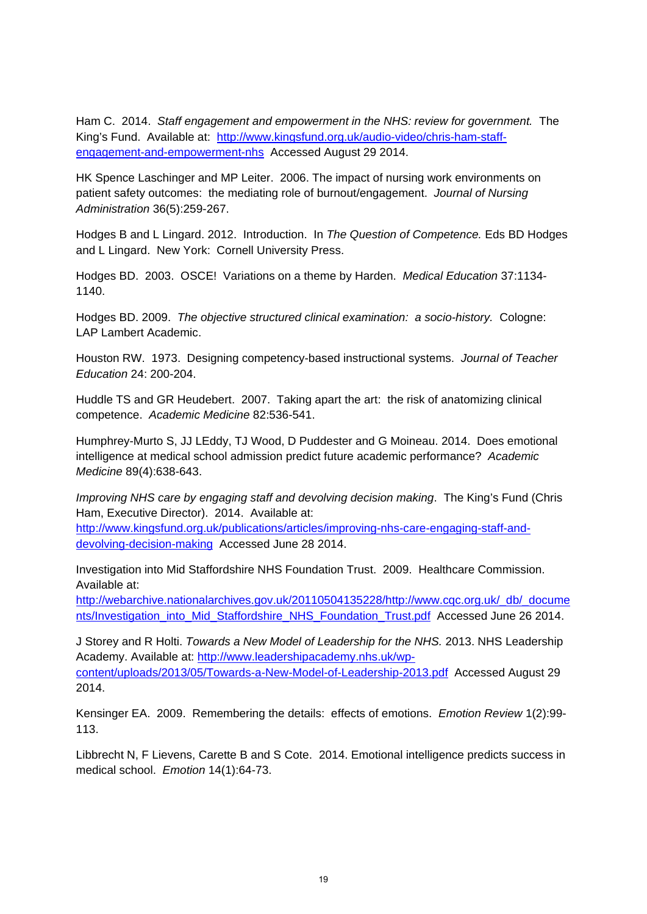Ham C. 2014. *Staff engagement and empowerment in the NHS: review for government.* The King's Fund. Available at: http://www.kingsfund.org.uk/audio-video/chris-ham-staffengagement-and-empowerment-nhs Accessed August 29 2014.

HK Spence Laschinger and MP Leiter. 2006. The impact of nursing work environments on patient safety outcomes: the mediating role of burnout/engagement. *Journal of Nursing Administration* 36(5):259-267.

Hodges B and L Lingard. 2012. Introduction. In *The Question of Competence.* Eds BD Hodges and L Lingard. New York: Cornell University Press.

Hodges BD. 2003. OSCE! Variations on a theme by Harden. *Medical Education* 37:1134- 1140.

Hodges BD. 2009. *The objective structured clinical examination: a socio-history.* Cologne: LAP Lambert Academic.

Houston RW. 1973. Designing competency-based instructional systems. *Journal of Teacher Education* 24: 200-204.

Huddle TS and GR Heudebert. 2007. Taking apart the art: the risk of anatomizing clinical competence. *Academic Medicine* 82:536-541.

Humphrey-Murto S, JJ LEddy, TJ Wood, D Puddester and G Moineau. 2014. Does emotional intelligence at medical school admission predict future academic performance? *Academic Medicine* 89(4):638-643.

*Improving NHS care by engaging staff and devolving decision making*. The King's Fund (Chris Ham, Executive Director). 2014. Available at:

http://www.kingsfund.org.uk/publications/articles/improving-nhs-care-engaging-staff-anddevolving-decision-making Accessed June 28 2014.

Investigation into Mid Staffordshire NHS Foundation Trust. 2009. Healthcare Commission. Available at:

http://webarchive.nationalarchives.gov.uk/20110504135228/http://www.cqc.org.uk/\_db/\_docume nts/Investigation\_into\_Mid\_Staffordshire\_NHS\_Foundation\_Trust.pdf Accessed June 26 2014.

J Storey and R Holti. *Towards a New Model of Leadership for the NHS.* 2013. NHS Leadership Academy. Available at: http://www.leadershipacademy.nhs.uk/wp-

content/uploads/2013/05/Towards-a-New-Model-of-Leadership-2013.pdf Accessed August 29 2014.

Kensinger EA. 2009. Remembering the details: effects of emotions. *Emotion Review* 1(2):99- 113.

Libbrecht N, F Lievens, Carette B and S Cote. 2014. Emotional intelligence predicts success in medical school. *Emotion* 14(1):64-73.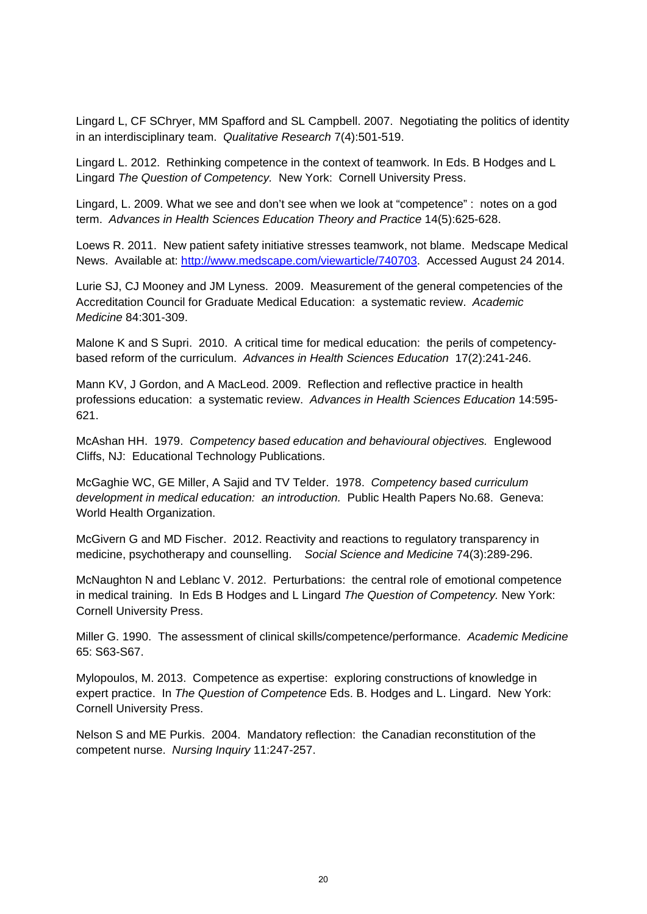Lingard L, CF SChryer, MM Spafford and SL Campbell. 2007. Negotiating the politics of identity in an interdisciplinary team. *Qualitative Research* 7(4):501-519.

Lingard L. 2012. Rethinking competence in the context of teamwork. In Eds. B Hodges and L Lingard *The Question of Competency.* New York: Cornell University Press.

Lingard, L. 2009. What we see and don't see when we look at "competence" : notes on a god term. *Advances in Health Sciences Education Theory and Practice* 14(5):625-628.

Loews R. 2011. New patient safety initiative stresses teamwork, not blame. Medscape Medical News. Available at: http://www.medscape.com/viewarticle/740703. Accessed August 24 2014.

Lurie SJ, CJ Mooney and JM Lyness. 2009. Measurement of the general competencies of the Accreditation Council for Graduate Medical Education: a systematic review. *Academic Medicine* 84:301-309.

Malone K and S Supri. 2010. A critical time for medical education: the perils of competencybased reform of the curriculum. *Advances in Health Sciences Education* 17(2):241-246.

Mann KV, J Gordon, and A MacLeod. 2009. Reflection and reflective practice in health professions education: a systematic review. *Advances in Health Sciences Education* 14:595- 621.

McAshan HH. 1979. *Competency based education and behavioural objectives.* Englewood Cliffs, NJ: Educational Technology Publications.

McGaghie WC, GE Miller, A Sajid and TV Telder. 1978. *Competency based curriculum development in medical education: an introduction.* Public Health Papers No.68. Geneva: World Health Organization.

McGivern G and MD Fischer. 2012. Reactivity and reactions to regulatory transparency in medicine, psychotherapy and counselling. *Social Science and Medicine* 74(3):289-296.

McNaughton N and Leblanc V. 2012. Perturbations: the central role of emotional competence in medical training. In Eds B Hodges and L Lingard *The Question of Competency.* New York: Cornell University Press.

Miller G. 1990. The assessment of clinical skills/competence/performance. *Academic Medicine*  65: S63-S67.

Mylopoulos, M. 2013. Competence as expertise: exploring constructions of knowledge in expert practice. In *The Question of Competence* Eds. B. Hodges and L. Lingard. New York: Cornell University Press.

Nelson S and ME Purkis. 2004. Mandatory reflection: the Canadian reconstitution of the competent nurse. *Nursing Inquiry* 11:247-257.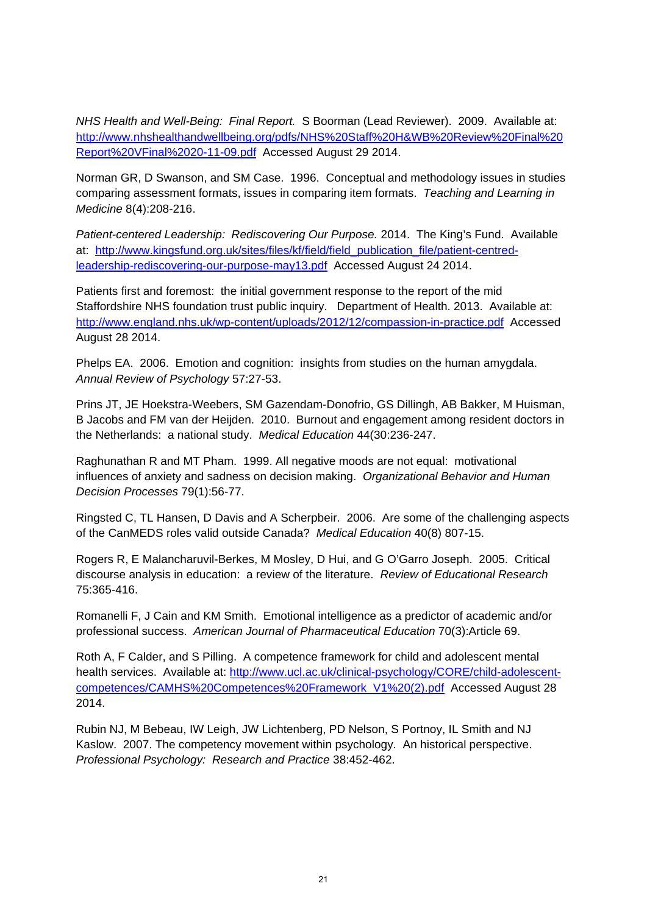*NHS Health and Well-Being: Final Report.* S Boorman (Lead Reviewer). 2009. Available at: http://www.nhshealthandwellbeing.org/pdfs/NHS%20Staff%20H&WB%20Review%20Final%20 Report%20VFinal%2020-11-09.pdf Accessed August 29 2014.

Norman GR, D Swanson, and SM Case. 1996. Conceptual and methodology issues in studies comparing assessment formats, issues in comparing item formats. *Teaching and Learning in Medicine* 8(4):208-216.

*Patient-centered Leadership: Rediscovering Our Purpose.* 2014. The King's Fund. Available at: http://www.kingsfund.org.uk/sites/files/kf/field/field publication file/patient-centredleadership-rediscovering-our-purpose-may13.pdf Accessed August 24 2014.

Patients first and foremost: the initial government response to the report of the mid Staffordshire NHS foundation trust public inquiry. Department of Health. 2013. Available at: http://www.england.nhs.uk/wp-content/uploads/2012/12/compassion-in-practice.pdf Accessed August 28 2014.

Phelps EA. 2006. Emotion and cognition: insights from studies on the human amygdala. *Annual Review of Psychology* 57:27-53.

Prins JT, JE Hoekstra-Weebers, SM Gazendam-Donofrio, GS Dillingh, AB Bakker, M Huisman, B Jacobs and FM van der Heijden. 2010. Burnout and engagement among resident doctors in the Netherlands: a national study. *Medical Education* 44(30:236-247.

Raghunathan R and MT Pham. 1999. All negative moods are not equal: motivational influences of anxiety and sadness on decision making. *Organizational Behavior and Human Decision Processes* 79(1):56-77.

Ringsted C, TL Hansen, D Davis and A Scherpbeir. 2006. Are some of the challenging aspects of the CanMEDS roles valid outside Canada? *Medical Education* 40(8) 807-15.

Rogers R, E Malancharuvil-Berkes, M Mosley, D Hui, and G O'Garro Joseph. 2005. Critical discourse analysis in education: a review of the literature. *Review of Educational Research*  75:365-416.

Romanelli F, J Cain and KM Smith. Emotional intelligence as a predictor of academic and/or professional success. *American Journal of Pharmaceutical Education* 70(3):Article 69.

Roth A, F Calder, and S Pilling. A competence framework for child and adolescent mental health services. Available at: http://www.ucl.ac.uk/clinical-psychology/CORE/child-adolescentcompetences/CAMHS%20Competences%20Framework\_V1%20(2).pdf Accessed August 28 2014.

Rubin NJ, M Bebeau, IW Leigh, JW Lichtenberg, PD Nelson, S Portnoy, IL Smith and NJ Kaslow. 2007. The competency movement within psychology. An historical perspective. *Professional Psychology: Research and Practice* 38:452-462.